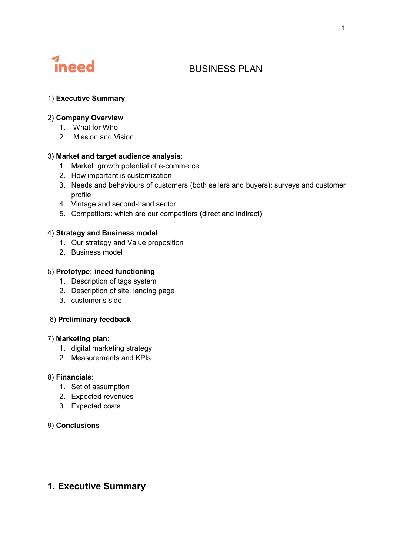

# BUSINESS PLAN

## 1) Executive Summary

## 2) Company Overview

- 1. What for Who
- 2. Mission and Vision

## 3) Market and target audience analysis:

- 1. Market: growth potential of e-commerce
- 2. How important is customization
- 3. Needs and behaviours of customers (both sellers and buyers): surveys and customer profile
- 4. Vintage and second-hand sector
- 5. Competitors: which are our competitors (direct and indirect)

## 4) Strategy and Business model:

- 1. Our strategy and Value proposition
- 2. Business model

## 5) Prototype: ineed functioning

- 1. Description of tags system
- 2. Description of site: landing page
- 3. customer's side

### 6) Preliminary feedback

### 7) Marketing plan:

- 1. digital marketing strategy
- 2. Measurements and KPIs

### 8) Financials:

- 1. Set of assumption
- 2. Expected revenues
- 3. Expected costs

## 9) Conclusions

## 1. Executive Summary